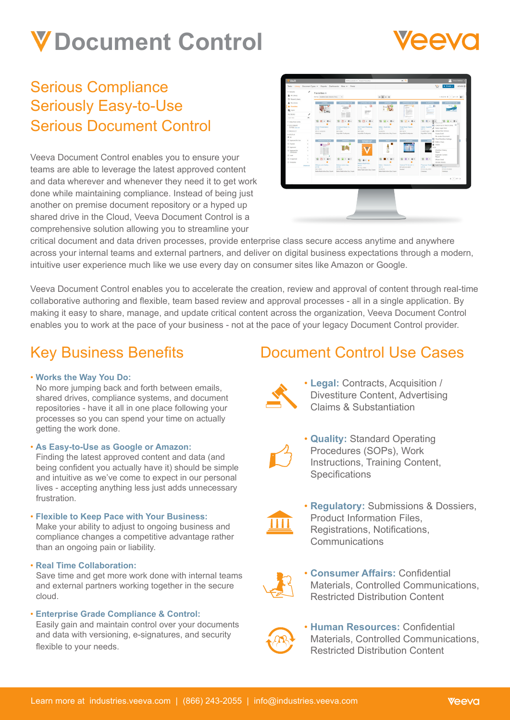# **Document Control**



## Serious Compliance Seriously Easy-to-Use Serious Document Control

Veeva Document Control enables you to ensure your teams are able to leverage the latest approved content and data wherever and whenever they need it to get work done while maintaining compliance. Instead of being just another on premise document repository or a hyped up shared drive in the Cloud, Veeva Document Control is a comprehensive solution allowing you to streamline your



critical document and data driven processes, provide enterprise class secure access anytime and anywhere across your internal teams and external partners, and deliver on digital business expectations through a modern, intuitive user experience much like we use every day on consumer sites like Amazon or Google.

Veeva Document Control enables you to accelerate the creation, review and approval of content through real-time collaborative authoring and flexible, team based review and approval processes - all in a single application. By making it easy to share, manage, and update critical content across the organization, Veeva Document Control enables you to work at the pace of your business - not at the pace of your legacy Document Control provider.

## Key Business Benefits

### • **Works the Way You Do:**

No more jumping back and forth between emails, shared drives, compliance systems, and document repositories - have it all in one place following your processes so you can spend your time on actually getting the work done.

• **As Easy-to-Use as Google or Amazon:** 

Finding the latest approved content and data (and being confident you actually have it) should be simple and intuitive as we've come to expect in our personal lives - accepting anything less just adds unnecessary frustration.

#### • **Flexible to Keep Pace with Your Business:** Make your ability to adjust to ongoing business and compliance changes a competitive advantage rather than an ongoing pain or liability.

• **Real Time Collaboration:**

Save time and get more work done with internal teams and external partners working together in the secure cloud.

### • **Enterprise Grade Compliance & Control:**

Easily gain and maintain control over your documents and data with versioning, e-signatures, and security flexible to your needs.

## Document Control Use Cases



• **Legal:** Contracts, Acquisition / Divestiture Content, Advertising Claims & Substantiation



• **Quality:** Standard Operating Procedures (SOPs), Work Instructions, Training Content, **Specifications** 



• **Regulatory:** Submissions & Dossiers, Product Information Files, Registrations, Notifications, **Communications** 



• **Consumer Affairs:** Confidential Materials, Controlled Communications, Restricted Distribution Content



• **Human Resources:** Confidential Materials, Controlled Communications, Restricted Distribution Content